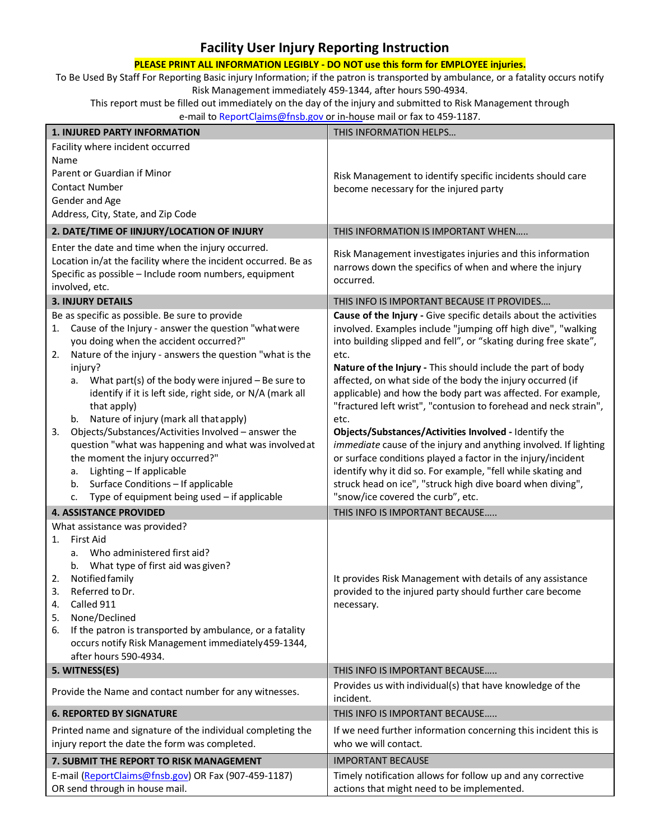## **Facility User Injury Reporting Instruction**

## **PLEASE PRINT ALL INFORMATION LEGIBLY - DO NOT use this form for EMPLOYEE injuries.**

To Be Used By Staff For Reporting Basic injury Information; if the patron is transported by ambulance, or a fatality occurs notify Risk Management immediately 459-1344, after hours 590-4934.

This report must be filled out immediately on the day of the injury and submitted to Risk Management through e-mail to [ReportClaims@fnsb.gov](mailto:ReportClaims@fnsb.gov) or in-house mail or fax to 459-1187.

| <b>1. INJURED PARTY INFORMATION</b>                                                                                                                                                                                                                                                                                                                                                                                                                                                                                                                                                                                                                                                                                           | THIS INFORMATION HELPS                                                                                                                                                                                                                                                                                                                                                                                                                                                                                                                                                                                                                                                                                                                                                                                                                                |  |  |  |  |
|-------------------------------------------------------------------------------------------------------------------------------------------------------------------------------------------------------------------------------------------------------------------------------------------------------------------------------------------------------------------------------------------------------------------------------------------------------------------------------------------------------------------------------------------------------------------------------------------------------------------------------------------------------------------------------------------------------------------------------|-------------------------------------------------------------------------------------------------------------------------------------------------------------------------------------------------------------------------------------------------------------------------------------------------------------------------------------------------------------------------------------------------------------------------------------------------------------------------------------------------------------------------------------------------------------------------------------------------------------------------------------------------------------------------------------------------------------------------------------------------------------------------------------------------------------------------------------------------------|--|--|--|--|
| Facility where incident occurred<br>Name<br>Parent or Guardian if Minor<br><b>Contact Number</b><br>Gender and Age<br>Address, City, State, and Zip Code                                                                                                                                                                                                                                                                                                                                                                                                                                                                                                                                                                      | Risk Management to identify specific incidents should care<br>become necessary for the injured party                                                                                                                                                                                                                                                                                                                                                                                                                                                                                                                                                                                                                                                                                                                                                  |  |  |  |  |
| 2. DATE/TIME OF IINJURY/LOCATION OF INJURY                                                                                                                                                                                                                                                                                                                                                                                                                                                                                                                                                                                                                                                                                    | THIS INFORMATION IS IMPORTANT WHEN                                                                                                                                                                                                                                                                                                                                                                                                                                                                                                                                                                                                                                                                                                                                                                                                                    |  |  |  |  |
| Enter the date and time when the injury occurred.<br>Location in/at the facility where the incident occurred. Be as<br>Specific as possible - Include room numbers, equipment<br>involved, etc.                                                                                                                                                                                                                                                                                                                                                                                                                                                                                                                               | Risk Management investigates injuries and this information<br>narrows down the specifics of when and where the injury<br>occurred.                                                                                                                                                                                                                                                                                                                                                                                                                                                                                                                                                                                                                                                                                                                    |  |  |  |  |
| <b>3. INJURY DETAILS</b>                                                                                                                                                                                                                                                                                                                                                                                                                                                                                                                                                                                                                                                                                                      | THIS INFO IS IMPORTANT BECAUSE IT PROVIDES                                                                                                                                                                                                                                                                                                                                                                                                                                                                                                                                                                                                                                                                                                                                                                                                            |  |  |  |  |
| Be as specific as possible. Be sure to provide<br>Cause of the Injury - answer the question "what were<br>1.<br>you doing when the accident occurred?"<br>Nature of the injury - answers the question "what is the<br>2.<br>injury?<br>What part(s) of the body were injured $-$ Be sure to<br>a.<br>identify if it is left side, right side, or N/A (mark all<br>that apply)<br>Nature of injury (mark all that apply)<br>b.<br>Objects/Substances/Activities Involved - answer the<br>3.<br>question "what was happening and what was involved at<br>the moment the injury occurred?"<br>Lighting - If applicable<br>a.<br>Surface Conditions - If applicable<br>b.<br>Type of equipment being used $-$ if applicable<br>c. | Cause of the Injury - Give specific details about the activities<br>involved. Examples include "jumping off high dive", "walking<br>into building slipped and fell", or "skating during free skate",<br>etc.<br>Nature of the Injury - This should include the part of body<br>affected, on what side of the body the injury occurred (if<br>applicable) and how the body part was affected. For example,<br>"fractured left wrist", "contusion to forehead and neck strain",<br>etc.<br>Objects/Substances/Activities Involved - Identify the<br>immediate cause of the injury and anything involved. If lighting<br>or surface conditions played a factor in the injury/incident<br>identify why it did so. For example, "fell while skating and<br>struck head on ice", "struck high dive board when diving",<br>"snow/ice covered the curb", etc. |  |  |  |  |
| <b>4. ASSISTANCE PROVIDED</b>                                                                                                                                                                                                                                                                                                                                                                                                                                                                                                                                                                                                                                                                                                 | THIS INFO IS IMPORTANT BECAUSE                                                                                                                                                                                                                                                                                                                                                                                                                                                                                                                                                                                                                                                                                                                                                                                                                        |  |  |  |  |
| What assistance was provided?<br><b>First Aid</b><br>1.<br>a. Who administered first aid?<br>b. What type of first aid was given?<br>Notified family<br>2.<br>Referred to Dr.<br>3.<br>Called 911<br>4.<br>None/Declined<br>5.<br>If the patron is transported by ambulance, or a fatality<br>6.<br>occurs notify Risk Management immediately 459-1344,<br>after hours 590-4934.                                                                                                                                                                                                                                                                                                                                              | It provides Risk Management with details of any assistance<br>provided to the injured party should further care become<br>necessary.                                                                                                                                                                                                                                                                                                                                                                                                                                                                                                                                                                                                                                                                                                                  |  |  |  |  |
| 5. WITNESS(ES)                                                                                                                                                                                                                                                                                                                                                                                                                                                                                                                                                                                                                                                                                                                | THIS INFO IS IMPORTANT BECAUSE                                                                                                                                                                                                                                                                                                                                                                                                                                                                                                                                                                                                                                                                                                                                                                                                                        |  |  |  |  |
| Provide the Name and contact number for any witnesses.                                                                                                                                                                                                                                                                                                                                                                                                                                                                                                                                                                                                                                                                        | Provides us with individual(s) that have knowledge of the<br>incident.                                                                                                                                                                                                                                                                                                                                                                                                                                                                                                                                                                                                                                                                                                                                                                                |  |  |  |  |
| <b>6. REPORTED BY SIGNATURE</b>                                                                                                                                                                                                                                                                                                                                                                                                                                                                                                                                                                                                                                                                                               | THIS INFO IS IMPORTANT BECAUSE                                                                                                                                                                                                                                                                                                                                                                                                                                                                                                                                                                                                                                                                                                                                                                                                                        |  |  |  |  |
| Printed name and signature of the individual completing the<br>injury report the date the form was completed.                                                                                                                                                                                                                                                                                                                                                                                                                                                                                                                                                                                                                 | If we need further information concerning this incident this is<br>who we will contact.                                                                                                                                                                                                                                                                                                                                                                                                                                                                                                                                                                                                                                                                                                                                                               |  |  |  |  |
| 7. SUBMIT THE REPORT TO RISK MANAGEMENT                                                                                                                                                                                                                                                                                                                                                                                                                                                                                                                                                                                                                                                                                       | <b>IMPORTANT BECAUSE</b>                                                                                                                                                                                                                                                                                                                                                                                                                                                                                                                                                                                                                                                                                                                                                                                                                              |  |  |  |  |
| E-mail (ReportClaims@fnsb.gov) OR Fax (907-459-1187)<br>OR send through in house mail.                                                                                                                                                                                                                                                                                                                                                                                                                                                                                                                                                                                                                                        | Timely notification allows for follow up and any corrective<br>actions that might need to be implemented.                                                                                                                                                                                                                                                                                                                                                                                                                                                                                                                                                                                                                                                                                                                                             |  |  |  |  |